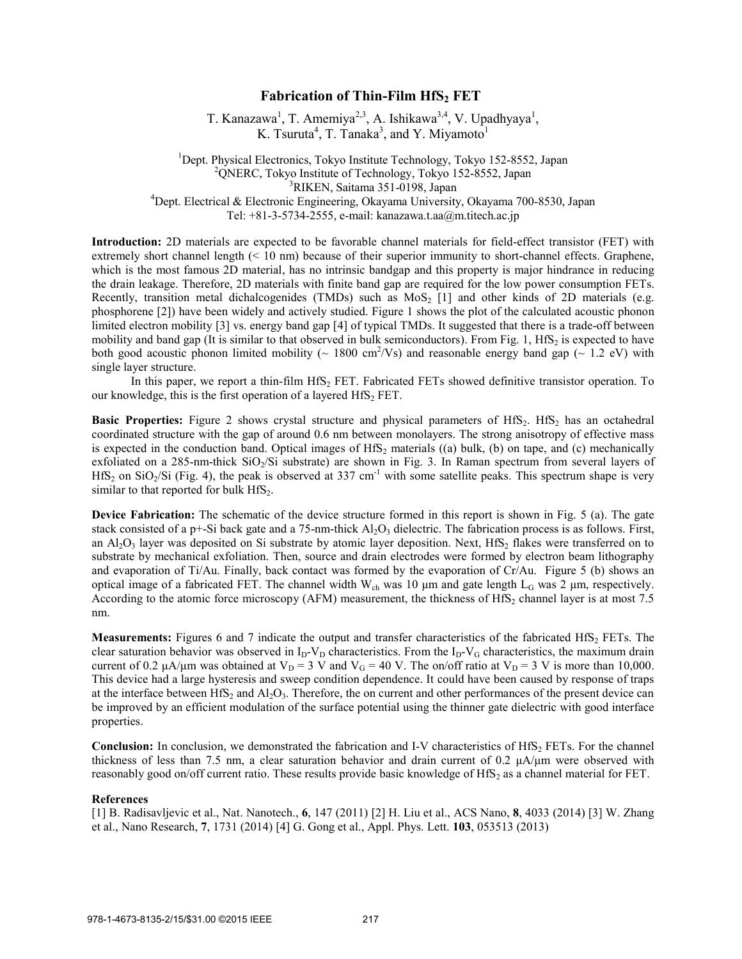## **Fabrication of Thin-Film HfS2 FET**

T. Kanazawa<sup>1</sup>, T. Amemiya<sup>2,3</sup>, A. Ishikawa<sup>3,4</sup>, V. Upadhyaya<sup>1</sup>, K. Tsuruta<sup>4</sup>, T. Tanaka<sup>3</sup>, and Y. Miyamoto<sup>1</sup>

<sup>1</sup>Dept. Physical Electronics, Tokyo Institute Technology, Tokyo 152-8552, Japan <sup>2</sup>QNERC, Tokyo Institute of Technology, Tokyo 152-8552, Japan <sup>3</sup>RIKEN, Saitama 351-0198, Japan <sup>4</sup>Dept. Electrical & Electronic Engineering, Okayama University, Okayama 700-8530, Japan

Tel: +81-3-5734-2555, e-mail: kanazawa.t.aa@m.titech.ac.jp

**Introduction:** 2D materials are expected to be favorable channel materials for field-effect transistor (FET) with extremely short channel length (< 10 nm) because of their superior immunity to short-channel effects. Graphene, which is the most famous 2D material, has no intrinsic bandgap and this property is major hindrance in reducing the drain leakage. Therefore, 2D materials with finite band gap are required for the low power consumption FETs. Recently, transition metal dichalcogenides (TMDs) such as  $MoS<sub>2</sub>$  [1] and other kinds of 2D materials (e.g. phosphorene [2]) have been widely and actively studied. Figure 1 shows the plot of the calculated acoustic phonon limited electron mobility [3] vs. energy band gap [4] of typical TMDs. It suggested that there is a trade-off between mobility and band gap (It is similar to that observed in bulk semiconductors). From Fig. 1, HfS<sub>2</sub> is expected to have both good acoustic phonon limited mobility ( $\sim 1800 \text{ cm}^2/\text{Vs}$ ) and reasonable energy band gap ( $\sim 1.2 \text{ eV}$ ) with single layer structure.

In this paper, we report a thin-film HfS<sub>2</sub> FET. Fabricated FETs showed definitive transistor operation. To our knowledge, this is the first operation of a layered  $HfS<sub>2</sub> FET$ .

**Basic Properties:** Figure 2 shows crystal structure and physical parameters of HfS<sub>2</sub>. HfS<sub>2</sub> has an octahedral coordinated structure with the gap of around 0.6 nm between monolayers. The strong anisotropy of effective mass is expected in the conduction band. Optical images of  $HfS<sub>2</sub>$  materials ((a) bulk, (b) on tape, and (c) mechanically exfoliated on a 285-nm-thick  $SiO<sub>2</sub>/Si$  substrate) are shown in Fig. 3. In Raman spectrum from several layers of  $HfS_2$  on SiO<sub>2</sub>/Si (Fig. 4), the peak is observed at 337 cm<sup>-1</sup> with some satellite peaks. This spectrum shape is very similar to that reported for bulk  $HfS<sub>2</sub>$ .

**Device Fabrication:** The schematic of the device structure formed in this report is shown in Fig. 5 (a). The gate stack consisted of a p+-Si back gate and a 75-nm-thick  $A<sub>1</sub>O<sub>3</sub>$  dielectric. The fabrication process is as follows. First, an  $A<sub>1</sub>O<sub>3</sub>$  layer was deposited on Si substrate by atomic layer deposition. Next, HfS<sub>2</sub> flakes were transferred on to substrate by mechanical exfoliation. Then, source and drain electrodes were formed by electron beam lithography and evaporation of Ti/Au. Finally, back contact was formed by the evaporation of Cr/Au. Figure 5 (b) shows an optical image of a fabricated FET. The channel width W<sub>ch</sub> was 10 μm and gate length L<sub>G</sub> was 2 μm, respectively. According to the atomic force microscopy (AFM) measurement, the thickness of  $\text{HfS}_2$  channel layer is at most 7.5 nm.

**Measurements:** Figures 6 and 7 indicate the output and transfer characteristics of the fabricated HfS<sub>2</sub> FETs. The clear saturation behavior was observed in  $I_D-V_D$  characteristics. From the  $I_D-V_G$  characteristics, the maximum drain current of 0.2  $\mu$ A/ $\mu$ m was obtained at V<sub>D</sub> = 3 V and V<sub>G</sub> = 40 V. The on/off ratio at V<sub>D</sub> = 3 V is more than 10,000. This device had a large hysteresis and sweep condition dependence. It could have been caused by response of traps at the interface between HfS<sub>2</sub> and  $A_1O_3$ . Therefore, the on current and other performances of the present device can be improved by an efficient modulation of the surface potential using the thinner gate dielectric with good interface properties.

**Conclusion:** In conclusion, we demonstrated the fabrication and I-V characteristics of HfS<sub>2</sub> FETs. For the channel thickness of less than 7.5 nm, a clear saturation behavior and drain current of 0.2 μA/μm were observed with reasonably good on/off current ratio. These results provide basic knowledge of  $\text{HfS}_2$  as a channel material for FET.

## **References**

[1] B. Radisavljevic et al., Nat. Nanotech., **6**, 147 (2011) [2] H. Liu et al., ACS Nano, **8**, 4033 (2014) [3] W. Zhang et al., Nano Research, **7**, 1731 (2014) [4] G. Gong et al., Appl. Phys. Lett. **103**, 053513 (2013)